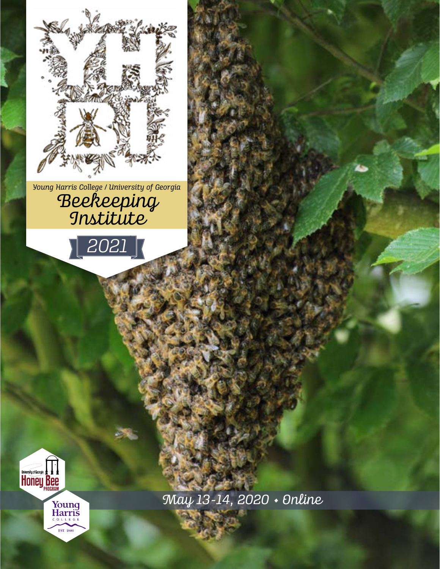

*Young Harris College / University of Georgia*  Beekeeping Institute





May 13-14, 2020 • Online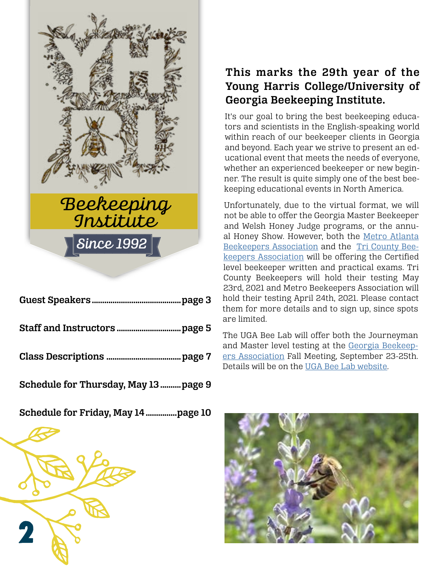

Schedule for Thursday, May 13 ..........[page 9](#page-8-0)

Schedule for Friday, May 14...............[page 10](#page-9-0)



### This marks the 29th year of the Young Harris College/University of Georgia Beekeeping Institute.

It's our goal to bring the best beekeeping educators and scientists in the English-speaking world within reach of our beekeeper clients in Georgia and beyond. Each year we strive to present an educational event that meets the needs of everyone, whether an experienced beekeeper or new beginner. The result is quite simply one of the best beekeeping educational events in North America.

Unfortunately, due to the virtual format, we will not be able to offer the Georgia Master Beekeeper and Welsh Honey Judge programs, or the annu-al Honey Show. However, both the [Metro Atlanta](https://metroatlantabeekeepers.org) [Beekeepers Association](https://metroatlantabeekeepers.org) and the [Tri County Bee](https://www.memberplanet.com/events/tricountybeekeepers/ugacertifiedbeekeepertesting)[keepers Association](https://www.memberplanet.com/events/tricountybeekeepers/ugacertifiedbeekeepertesting) will be offering the Certified level beekeeper written and practical exams. Tri County Beekeepers will hold their testing May 23rd, 2021 and Metro Beekeepers Association will hold their testing April 24th, 2021. Please contact them for more details and to sign up, since spots are limited.

The UGA Bee Lab will offer both the Journeyman and Master level testing at the [Georgia Beekeep](http://www.gabeekeeping.com)[ers Association](http://www.gabeekeeping.com) Fall Meeting, September 23-25th. Details will be on the [UGA Bee Lab website.](http://www.ent.uga.edu/bees)

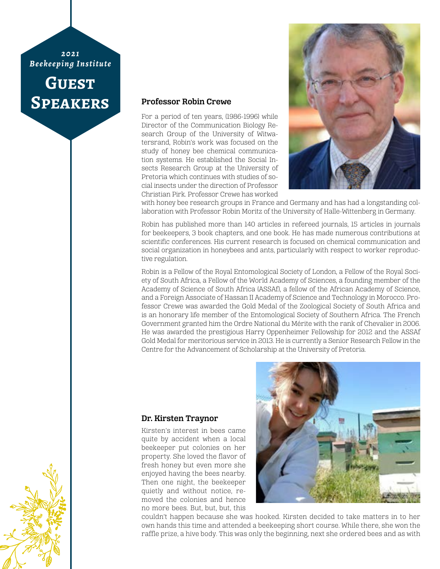*2 0 2 1 Beekeeping Institute*

## <span id="page-2-0"></span>**Guest Speakers**

Professor Robin Crewe

For a period of ten years, (1986-1996) while Director of the Communication Biology Research Group of the University of Witwatersrand, Robin's work was focused on the study of honey bee chemical communication systems. He established the Social Insects Research Group at the University of Pretoria which continues with studies of social insects under the direction of Professor Christian Pirk. Professor Crewe has worked



with honey bee research groups in France and Germany and has had a longstanding collaboration with Professor Robin Moritz of the University of Halle-Wittenberg in Germany.

Robin has published more than 140 articles in refereed journals, 15 articles in journals for beekeepers, 3 book chapters, and one book. He has made numerous contributions at scientific conferences. His current research is focused on chemical communication and social organization in honeybees and ants, particularly with respect to worker reproductive regulation.

Robin is a Fellow of the Royal Entomological Society of London, a Fellow of the Royal Society of South Africa, a Fellow of the World Academy of Sciences, a founding member of the Academy of Science of South Africa (ASSAf), a fellow of the African Academy of Science, and a Foreign Associate of Hassan II Academy of Science and Technology in Morocco. Professor Crewe was awarded the Gold Medal of the Zoological Society of South Africa and is an honorary life member of the Entomological Society of Southern Africa. The French Government granted him the Ordre National du Mérite with the rank of Chevalier in 2006. He was awarded the prestigious Harry Oppenheimer Fellowship for 2012 and the ASSAf Gold Medal for meritorious service in 2013. He is currently a Senior Research Fellow in the Centre for the Advancement of Scholarship at the University of Pretoria.

#### Dr. Kirsten Traynor

Kirsten's interest in bees came quite by accident when a local beekeeper put colonies on her property. She loved the flavor of fresh honey but even more she enjoyed having the bees nearby. Then one night, the beekeeper quietly and without notice, removed the colonies and hence no more bees. But, but, but, this



couldn't happen because she was hooked. Kirsten decided to take matters in to her own hands this time and attended a beekeeping short course. While there, she won the raffle prize, a hive body. This was only the beginning, next she ordered bees and as with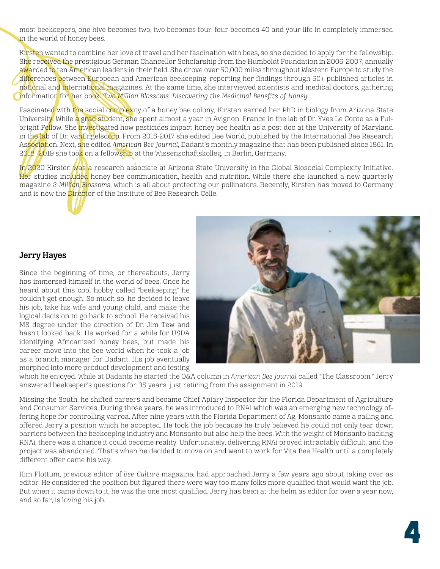most beekeepers, one hive becomes two, two becomes four, four becomes 40 and your life in completely immersed in the world of honey bees.

Kirsten wanted to combine her love of travel and her fascination with bees, so she decided to apply for the fellowship. She received the prestigious German Chancellor Scholarship from the Humboldt Foundation in 2006-2007, annually awarded to ten American leaders in their field. She drove over 50,000 miles throughout Western Europe to study the differences between European and American beekeeping, reporting her findings through 50+ published articles in national and international magazines. At the same time, she interviewed scientists and medical doctors, gathering information for her book: *Two Million Blossoms: Discovering the Medicinal Benefits of Honey.*

Fascinated with the social complexity of a honey bee colony, Kirsten earned her PhD in biology from Arizona State University. While a grad student, she spent almost a year in Avignon, France in the lab of Dr. Yves Le Conte as a Fulbright Fellow. She investigated how pesticides impact honey bee health as a post doc at the University of Maryland in the lab of Dr. vanEngelsdorp. From 2015-2017 she edited Bee World, published by the International Bee Research Association. Next, she edited *American Bee Journal,* Dadant's monthly magazine that has been published since 1861. In 2018 -2019 she took on a fellowship at the Wissenschaftskolleg, in Berlin, Germany.

In 2020 Kirsten was a research associate at Arizona State University in the Global Biosocial Complexity Initiative. Her studies included honey bee communication, health and nutrition. While there she launched a new quarterly magazine *2 Million Blossoms*, which is all about protecting our pollinators. Recently, Kirsten has moved to Germany and is now the **Direct**or of the Institute of Bee Research Celle.

#### Jerry Hayes

Since the beginning of time, or thereabouts, Jerry has immersed himself in the world of bees. Once he heard about this cool hobby called "beekeeping" he couldn't get enough. So much so, he decided to leave his job, take his wife and young child, and make the logical decision to go back to school. He received his MS degree under the direction of Dr. Jim Tew and hasn't looked back. He worked for a while for USDA identifying Africanized honey bees, but made his career move into the bee world when he took a job as a branch manager for Dadant. His job eventually morphed into more product development and testing



which he enjoyed. While at Dadants he started the Q&A column in *American Bee Journal* called "The Classroom." Jerry answered beekeeper's questions for 35 years, just retiring from the assignment in 2019.

Missing the South, he shifted careers and became Chief Apiary Inspector for the Florida Department of Agriculture and Consumer Services. During those years, he was introduced to RNAi which was an emerging new technology offering hope for controlling varroa. After nine years with the Florida Department of Ag, Monsanto came a calling and offered Jerry a position which he accepted. He took the job because he truly believed he could not only tear down barriers between the beekeeping industry and Monsanto but also help the bees. With the weight of Monsanto backing RNAi, there was a chance it could become reality. Unfortunately, delivering RNAi proved intractably difficult, and the project was abandoned. That's when he decided to move on and went to work for Vita Bee Health until a completely different offer came his way.

Kim Flottum, previous editor of *Bee Culture* magazine, had approached Jerry a few years ago about taking over as editor. He considered the position but figured there were way too many folks more qualified that would want the job. But when it came down to it, he was the one most qualified. Jerry has been at the helm as editor for over a year now, and so far, is loving his job.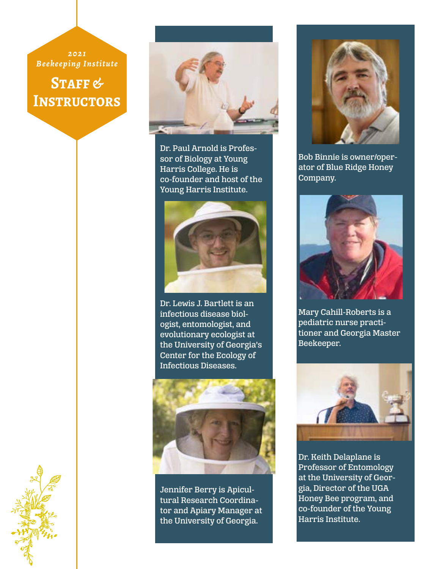*2 0 2 1 Beekeeping Institute*

## <span id="page-4-0"></span>**Staff & Instructors**



Dr. Paul Arnold is Professor of Biology at Young Harris College. He is co-founder and host of the Young Harris Institute.



Dr. Lewis J. Bartlett is an infectious disease biologist, entomologist, and evolutionary ecologist at the University of Georgia's Center for the Ecology of Infectious Diseases.



Jennifer Berry is Apicultural Research Coordinator and Apiary Manager at the University of Georgia.



Bob Binnie is owner/operator of Blue Ridge Honey Company.



Mary Cahill-Roberts is a pediatric nurse practitioner and Georgia Master Beekeeper.



Dr. Keith Delaplane is Professor of Entomology at the University of Georgia, Director of the UGA Honey Bee program, and co-founder of the Young Harris Institute.

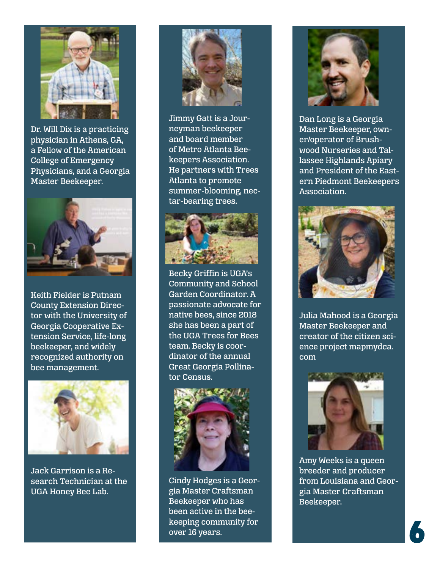

Dr. Will Dix is a practicing physician in Athens, GA, a Fellow of the American College of Emergency Physicians, and a Georgia Master Beekeeper.



Keith Fielder is Putnam County Extension Director with the University of Georgia Cooperative Extension Service, life-long beekeeper, and widely recognized authority on bee management.



Jack Garrison is a Research Technician at the UGA Honey Bee Lab.



Jimmy Gatt is a Journeyman beekeeper and board member of Metro Atlanta Beekeepers Association. He partners with Trees Atlanta to promote summer-blooming, nectar-bearing trees.



Becky Griffin is UGA's Community and School Garden Coordinator. A passionate advocate for native bees, since 2018 she has been a part of the UGA Trees for Bees team. Becky is coordinator of the annual Great Georgia Pollinator Census.



Cindy Hodges is a Georgia Master Craftsman Beekeeper who has been active in the beekeeping community for over 16 years.



Dan Long is a Georgia Master Beekeeper, owner/operator of Brushwood Nurseries and Tallassee Highlands Apiary and President of the Eastern Piedmont Beekeepers Association.



Julia Mahood is a Georgia Master Beekeeper and creator of the citizen science project mapmydca. com



Amy Weeks is a queen breeder and producer from Louisiana and Georgia Master Craftsman Beekeeper.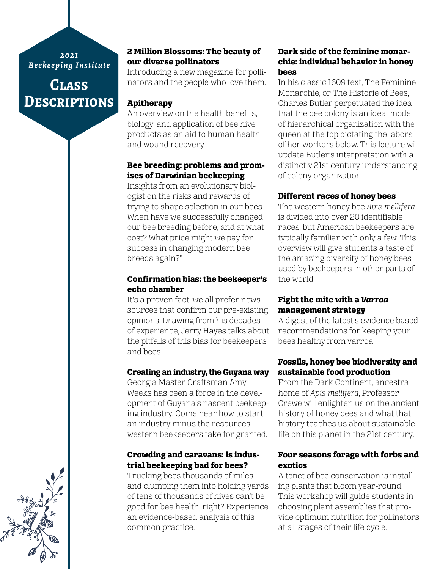#### *2 0 2 1 Beekeeping Institute*

## **Class Descriptions**

#### 2 Million Blossoms: The beauty of our diverse pollinators

<span id="page-6-0"></span>Introducing a new magazine for pollinators and the people who love them.

#### Apitherapy

An overview on the health benefits, biology, and application of bee hive products as an aid to human health and wound recovery

#### Bee breeding: problems and promises of Darwinian beekeeping

Insights from an evolutionary biologist on the risks and rewards of trying to shape selection in our bees. When have we successfully changed our bee breeding before, and at what cost? What price might we pay for success in changing modern bee breeds again?"

#### Confirmation bias: the beekeeper's echo chamber

It's a proven fact: we all prefer news sources that confirm our pre-existing opinions. Drawing from his decades of experience, Jerry Hayes talks about the pitfalls of this bias for beekeepers and bees.

#### Creating an industry, the Guyana way

Georgia Master Craftsman Amy Weeks has been a force in the development of Guyana's nascent beekeeping industry. Come hear how to start an industry minus the resources western beekeepers take for granted.

#### Crowding and caravans: is industrial beekeeping bad for bees?

Trucking bees thousands of miles and clumping them into holding yards of tens of thousands of hives can't be good for bee health, right? Experience an evidence-based analysis of this common practice.

#### Dark side of the feminine monarchie: individual behavior in honey bees

In his classic 1609 text, The Feminine Monarchie, or The Historie of Bees, Charles Butler perpetuated the idea that the bee colony is an ideal model of hierarchical organization with the queen at the top dictating the labors of her workers below. This lecture will update Butler's interpretation with a distinctly 21st century understanding of colony organization.

#### Different races of honey bees

The western honey bee *Apis mellifera*  is divided into over 20 identifiable races, but American beekeepers are typically familiar with only a few. This overview will give students a taste of the amazing diversity of honey bees used by beekeepers in other parts of the world.

#### Fight the mite with a *Varroa*  management strategy

A digest of the latest's evidence based recommendations for keeping your bees healthy from varroa

#### Fossils, honey bee biodiversity and sustainable food production

From the Dark Continent, ancestral home of *Apis mellifera*, Professor Crewe will enlighten us on the ancient history of honey bees and what that history teaches us about sustainable life on this planet in the 21st century.

#### Four seasons forage with forbs and exotics

A tenet of bee conservation is installing plants that bloom year-round. This workshop will guide students in choosing plant assemblies that provide optimum nutrition for pollinators at all stages of their life cycle.

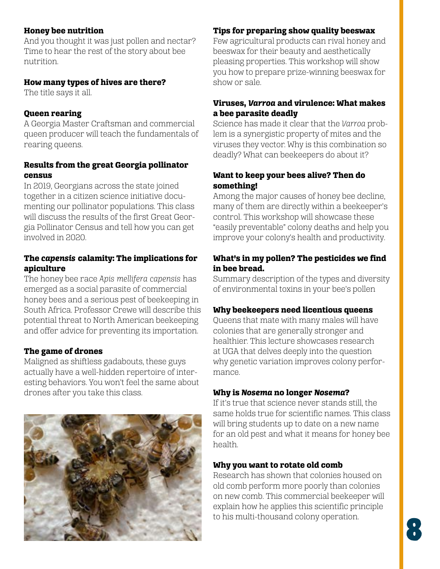#### Honey bee nutrition

And you thought it was just pollen and nectar? Time to hear the rest of the story about bee nutrition.

#### How many types of hives are there?

The title says it all.

#### Queen rearing

A Georgia Master Craftsman and commercial queen producer will teach the fundamentals of rearing queens.

#### Results from the great Georgia pollinator census

In 2019, Georgians across the state joined together in a citizen science initiative documenting our pollinator populations. This class will discuss the results of the first Great Georgia Pollinator Census and tell how you can get involved in 2020.

#### The *capensis* calamity: The implications for apiculture

The honey bee race *Apis mellifera capensis* has emerged as a social parasite of commercial honey bees and a serious pest of beekeeping in South Africa. Professor Crewe will describe this potential threat to North American beekeeping and offer advice for preventing its importation.

#### The game of drones

Maligned as shiftless gadabouts, these guys actually have a well-hidden repertoire of interesting behaviors. You won't feel the same about drones after you take this class.

#### Tips for preparing show quality beeswax

Few agricultural products can rival honey and beeswax for their beauty and aesthetically pleasing properties. This workshop will show you how to prepare prize-winning beeswax for show or sale.

#### Viruses, *Varroa* and virulence: What makes a bee parasite deadly

Science has made it clear that the *Varroa* problem is a synergistic property of mites and the viruses they vector. Why is this combination so deadly? What can beekeepers do about it?

#### Want to keep your bees alive? Then do something!

Among the major causes of honey bee decline, many of them are directly within a beekeeper's control. This workshop will showcase these "easily preventable" colony deaths and help you improve your colony's health and productivity.

#### What's in my pollen? The pesticides we find in bee bread.

Summary description of the types and diversity of environmental toxins in your bee's pollen

#### Why beekeepers need licentious queens

Queens that mate with many males will have colonies that are generally stronger and healthier. This lecture showcases research at UGA that delves deeply into the question why genetic variation improves colony performance.

#### Why is *Nosema* no longer *Nosema*?

If it's true that science never stands still, the same holds true for scientific names. This class will bring students up to date on a new name for an old pest and what it means for honey bee health.

#### Why you want to rotate old comb

Research has shown that colonies housed on old comb perform more poorly than colonies on new comb. This commercial beekeeper will explain how he applies this scientific principle to his multi-thousand colony operation.

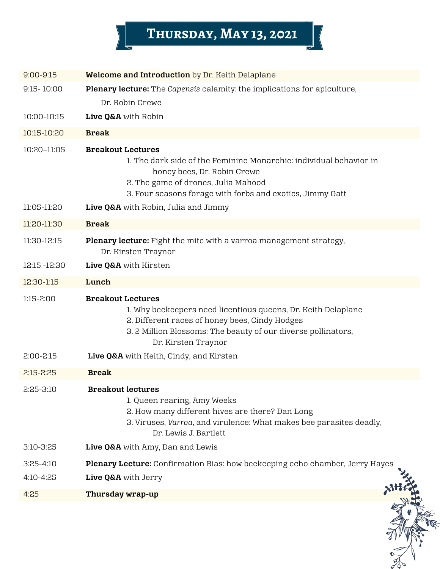# <span id="page-8-0"></span>**Thursday, May 13, 2021**

| $9:00 - 9:15$ | <b>Welcome and Introduction</b> by Dr. Keith Delaplane                                                                                                                                                                            |
|---------------|-----------------------------------------------------------------------------------------------------------------------------------------------------------------------------------------------------------------------------------|
| 9:15-10:00    | Plenary lecture: The Capensis calamity: the implications for apiculture,                                                                                                                                                          |
|               | Dr. Robin Crewe                                                                                                                                                                                                                   |
| 10:00-10:15   | Live Q&A with Robin                                                                                                                                                                                                               |
| 10:15-10:20   | <b>Break</b>                                                                                                                                                                                                                      |
| 10:20-11:05   | <b>Breakout Lectures</b><br>1. The dark side of the Feminine Monarchie: individual behavior in<br>honey bees, Dr. Robin Crewe<br>2. The game of drones, Julia Mahood<br>3. Four seasons forage with forbs and exotics, Jimmy Gatt |
| 11:05-11:20   | Live Q&A with Robin, Julia and Jimmy                                                                                                                                                                                              |
| 11:20-11:30   | <b>Break</b>                                                                                                                                                                                                                      |
| 11:30-12:15   | Plenary lecture: Fight the mite with a varroa management strategy,<br>Dr. Kirsten Traynor                                                                                                                                         |
| 12:15 -12:30  | Live Q&A with Kirsten                                                                                                                                                                                                             |
| 12:30-1:15    | Lunch                                                                                                                                                                                                                             |
|               |                                                                                                                                                                                                                                   |
| $1:15 - 2:00$ | <b>Breakout Lectures</b><br>1. Why beekeepers need licentious queens, Dr. Keith Delaplane<br>2. Different races of honey bees, Cindy Hodges<br>3. 2 Million Blossoms: The beauty of our diverse pollinators,                      |
| $2:00 - 2:15$ | Dr. Kirsten Traynor<br>Live Q&A with Keith, Cindy, and Kirsten                                                                                                                                                                    |
| $2:15 - 2:25$ | <b>Break</b>                                                                                                                                                                                                                      |
| 2:25-3:10     | <b>Breakout lectures</b><br>1. Queen rearing, Amy Weeks<br>2. How many different hives are there? Dan Long<br>3. Viruses, Varroa, and virulence: What makes bee parasites deadly,<br>Dr. Lewis J. Bartlett                        |
| 3:10-3:25     | Live Q&A with Amy, Dan and Lewis                                                                                                                                                                                                  |
| $3:25-4:10$   | Plenary Lecture: Confirmation Bias: how beekeeping echo chamber, Jerry Hayes                                                                                                                                                      |
| 4:10-4:25     | Live Q&A with Jerry                                                                                                                                                                                                               |
| 4:25          | 大学<br>Thursday wrap-up                                                                                                                                                                                                            |

# 新三  $\sqrt{2}$